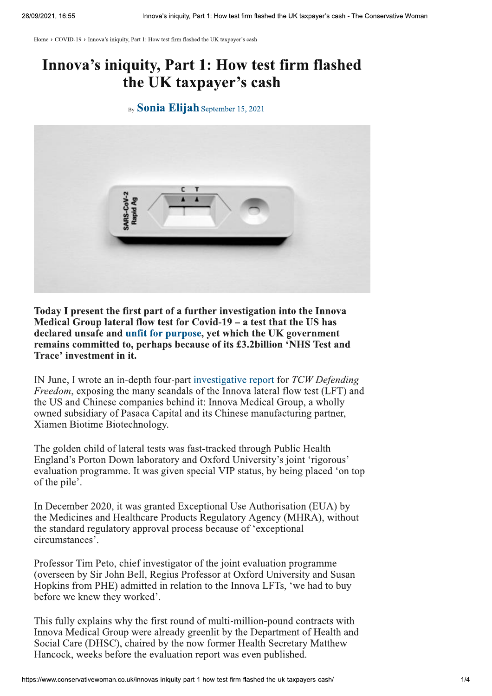Home > COVID-19 > Innova's iniquity, Part 1: How test firm flashed the UK taxpayer's cash

## Innova's iniquity, Part 1: How test firm flashed the UK taxpayer's cash

## By **Sonia Elijah** September 15, 2021



Today I present the first part of a further investigation into the Innova Medical Group lateral flow test for Covid-19 – a test that the US has declared unsafe and unfit for purpose, yet which the UK government remains committed to, perhaps because of its £3.2billion 'NHS Test and Trace' investment in it.

IN June, I wrote an in-depth four-part investigative report for TCW Defending *Freedom*, exposing the many scandals of the Innova lateral flow test (LFT) and the US and Chinese companies behind it: Innova Medical Group, a whollyowned subsidiary of Pasaca Capital and its Chinese manufacturing partner, Xiamen Biotime Biotechnology.

The golden child of lateral tests was fast-tracked through Public Health England's Porton Down laboratory and Oxford University's joint 'rigorous' evaluation programme. It was given special VIP status, by being placed 'on top of the pile'.

In December 2020, it was granted Exceptional Use Authorisation (EUA) by the Medicines and Healthcare Products Regulatory Agency (MHRA), without the standard regulatory approval process because of 'exceptional circumstances'.

Professor Tim Peto, chief investigator of the joint evaluation programme (overseen by Sir John Bell, Regius Professor at Oxford University and Susan Hopkins from PHE) admitted in relation to the Innova LFTs, 'we had to buy before we knew they worked'.

This fully explains why the first round of multi-million-pound contracts with Innova Medical Group were already greenlit by the Department of Health and Social Care (DHSC), chaired by the now former Health Secretary Matthew Hancock, weeks before the evaluation report was even published.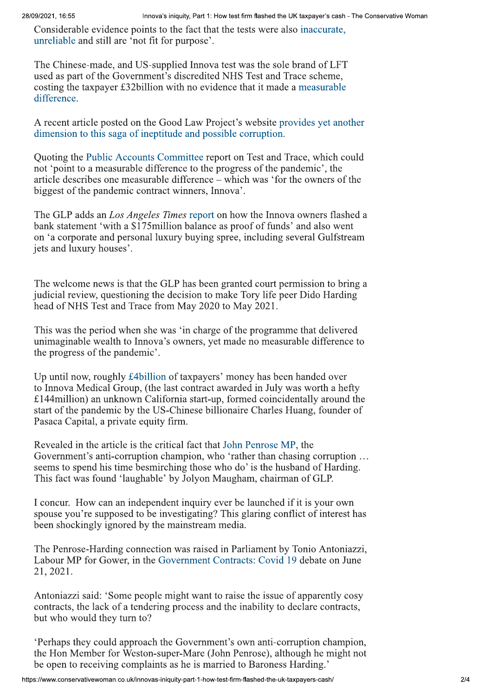Considerable evidence points to the fact that the tests were also inaccurate. unreliable and still are 'not fit for purpose'.

Innova's iniquity, Part 1: How test firm flashed the UK taxpayer's cash - The Conservative Woman<br>ints to the fact that the tests were also inaccurate,<br>it fit for purpose'.<br>S-supplied Innova test was the sole brand of LFT<br>m The Chinese-made, and US-supplied Innova test was the sole brand of LFT used as part of the Government's discredited NHS Test and Trace scheme, costing the taxpayer £32billion with no evidence that it made a measurable difference.

A recent article posted on the Good Law Project's website provides yet another dimension to this saga of ineptitude and possible corruption.

Quoting the Public Accounts Committee report on Test and Trace, which could not 'point to a measurable difference to the progress of the pandemic', the article describes one measurable difference – which was 'for the owners of the biggest of the pandemic contract winners, Innova'.

The GLP adds an *Los Angeles Times* report on how the Innova owners flashed a bank statement 'with a \$175 million balance as proof of funds' and also went ./8B58:.4;.45<385/28;340./5787@Q@4R86@R1/P80;433A81/:7@21/P803934578M@7>0<435G jets and luxury houses'.

The welcome news is that the GLP has been granted court permission to bring a judicial review, questioning the decision to make Tory life peer Dido Harding head of NHS Test and Trace from May 2020 to May 2021.

This was the period when she was 'in charge of the programme that delivered unimaginable wealth to Innova's owners, yet made no measurable difference to the progress of the pandemic'.

Up until now, roughly £4billion of taxpayers' money has been handed over to Innova Medical Group, (the last contract awarded in July was worth a hefty  $£144$ million) an unknown California start-up, formed coincidentally around the start of the pandemic by the US-Chinese billionaire Charles Huang, founder of Pasaca Capital, a private equity firm.

Revealed in the article is the critical fact that John Penrose MP, the Government's anti-corruption champion, who 'rather than chasing corruption ... seems to spend his time besmirching those who do' is the husband of Harding. This fact was found 'laughable' by Jolyon Maugham, chairman of GLP.

I concur. How can an independent inquiry ever be launched if it is your own spouse you're supposed to be investigating? This glaring conflict of interest has been shockingly ignored by the mainstream media.

The Penrose-Harding connection was raised in Parliament by Tonio Antoniazzi, Labour MP for Gower, in the Government Contracts: Covid 19 debate on June 21, 2021.

Antoniazzi said: 'Some people might want to raise the issue of apparently cosy contracts, the lack of a tendering process and the inability to declare contracts, but who would they turn to?

Experience they could approach the Government's own anti-corruption champion, the Hon Member for Weston-super-Mare (John Penrose), although he might not be open to receiving complaints as he is married to Baroness Harding.'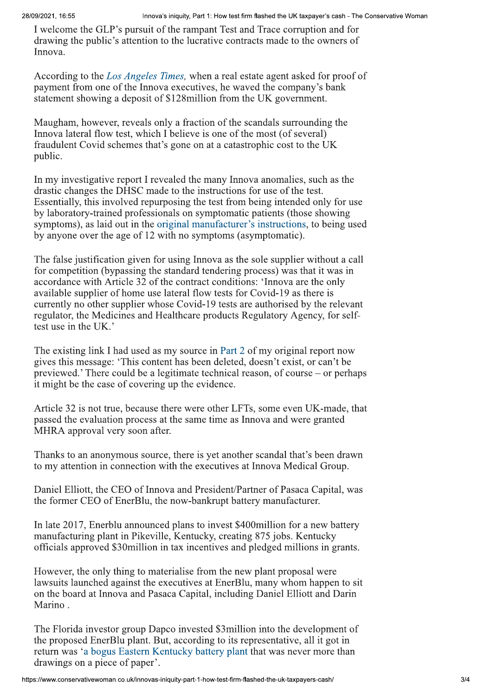Innova's iniquity, Part 1: How test firm flashed the UK taxpayer's cash - The Conservative Woman<br>uit of the rampant Test and Trace corruption and for<br>tion to the lucrative contracts made to the owners of<br>*eles Times*, when I welcome the GLP's pursuit of the rampant Test and Trace corruption and for drawing the public's attention to the lucrative contracts made to the owners of Innova.

According to the *Los Angeles Times*, when a real estate agent asked for proof of payment from one of the Innova executives, he waved the company's bank statement showing a deposit of \$128 million from the UK government.

Maugham, however, reveals only a fraction of the scandals surrounding the Innova lateral flow test, which I believe is one of the most (of several) fraudulent Covid schemes that's gone on at a catastrophic cost to the UK public.

In my investigative report I revealed the many Innova anomalies, such as the drastic changes the DHSC made to the instructions for use of the test. Essentially, this involved repurposing the test from being intended only for use by laboratory-trained professionals on symptomatic patients (those showing symptoms), as laid out in the original manufacturer's instructions, to being used by anyone over the age of 12 with no symptoms (asymptomatic).

The false justification given for using Innova as the sole supplier without a call for competition (bypassing the standard tendering process) was that it was in accordance with Article 32 of the contract conditions: 'Innova are the only available supplier of home use lateral flow tests for Covid-19 as there is surrently no other supplier whose Covid-19 tests are authorised by the relevant regulator, the Medicines and Healthcare products Regulatory Agency, for selftest use in the UK.'

The existing link I had used as my source in Part 2 of my original report now gives this message: 'This content has been deleted, doesn't exist, or can't be previewed.' There could be a legitimate technical reason, of course  $-$  or perhaps it might be the case of covering up the evidence.

Article 32 is not true, because there were other LFTs, some even UK-made, that passed the evaluation process at the same time as Innova and were granted MHRA approval very soon after.

Thanks to an anonymous source, there is yet another scandal that's been drawn to my attention in connection with the executives at Innova Medical Group.

Daniel Elliott, the CEO of Innova and President/Partner of Pasaca Capital, was the former CEO of EnerBlu, the now-bankrupt battery manufacturer.

In late 2017, Enerblu announced plans to invest \$400million for a new battery manufacturing plant in Pikeville, Kentucky, creating 875 jobs. Kentucky officials approved \$30 million in tax incentives and pledged millions in grants.

However, the only thing to materialise from the new plant proposal were lawsuits launched against the executives at EnerBlu, many whom happen to sit on the board at Innova and Pasaca Capital, including Daniel Elliott and Darin Marino.

The Florida investor group Dapco invested \$3 million into the development of the proposed EnerBlu plant. But, according to its representative, all it got in return was 'a bogus Eastern Kentucky battery plant that was never more than drawings on a piece of paper'.